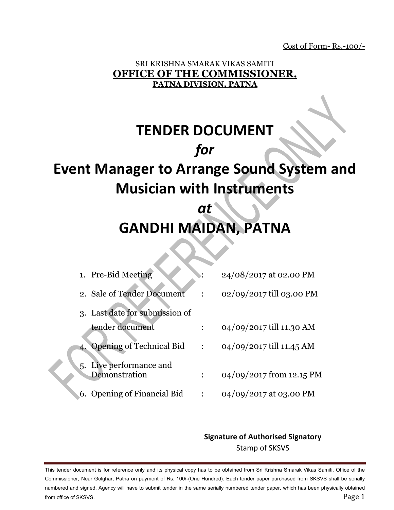Cost of Form- Rs.-100/-

## SRI KRISHNA SMARAK VIKAS SAMITI **OFFICE OF THE COMMISSIONER, PATNA DIVISION, PATNA**

# **TENDER DOCUMENT** *for* **Event Manager to Arrange Sound System and Musician with Instruments**

## *at*  **GANDHI MAIDAN, PATNA**

|    | 1. Pre-Bid Meeting                       | 24/08/2017 at 02.00 PM   |
|----|------------------------------------------|--------------------------|
|    | 2. Sale of Tender Document               | 02/09/2017 till 03.00 PM |
|    | 3. Last date for submission of           |                          |
|    | tender document                          | 04/09/2017 till 11.30 AM |
| 4. | <b>Opening of Technical Bid</b>          | 04/09/2017 till 11.45 AM |
|    | 5. Live performance and<br>Demonstration | 04/09/2017 from 12.15 PM |
|    | 6. Opening of Financial Bid              | 04/09/2017 at 03.00 PM   |

## **Signature of Authorised Signatory** Stamp of SKSVS

This tender document is for reference only and its physical copy has to be obtained from Sri Krishna Smarak Vikas Samiti, Office of the Commissioner, Near Golghar, Patna on payment of Rs. 100/-(One Hundred). Each tender paper purchased from SKSVS shall be serially numbered and signed. Agency will have to submit tender in the same serially numbered tender paper, which has been physically obtained from office of SKSVS.  $\qquad \qquad$  Page  $1$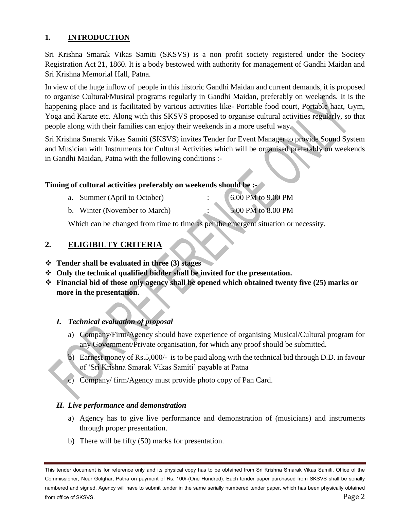#### **1. INTRODUCTION**

Sri Krishna Smarak Vikas Samiti (SKSVS) is a non–profit society registered under the Society Registration Act 21, 1860. It is a body bestowed with authority for management of Gandhi Maidan and Sri Krishna Memorial Hall, Patna.

In view of the huge inflow of people in this historic Gandhi Maidan and current demands, it is proposed to organise Cultural/Musical programs regularly in Gandhi Maidan, preferably on weekends. It is the happening place and is facilitated by various activities like- Portable food court, Portable haat, Gym, Yoga and Karate etc. Along with this SKSVS proposed to organise cultural activities regularly, so that people along with their families can enjoy their weekends in a more useful way.

Sri Krishna Smarak Vikas Samiti (SKSVS) invites Tender for Event Manager to provide Sound System and Musician with Instruments for Cultural Activities which will be organised preferably on weekends in Gandhi Maidan, Patna with the following conditions :-

#### **Timing of cultural activities preferably on weekends should be :-**

| a. Summer (April to October)  | 6.00 PM to 9.00 PM |
|-------------------------------|--------------------|
| b. Winter (November to March) | 5.00 PM to 8.00 PM |

Which can be changed from time to time as per the emergent situation or necessity.

#### **2. ELIGIBILTY CRITERIA**

#### **Tender shall be evaluated in three (3) stages**

- **Only the technical qualified bidder shall be invited for the presentation.**
- **Financial bid of those only agency shall be opened which obtained twenty five (25) marks or more in the presentation.**

#### *I. Technical evaluation of proposal*

- a) Company/Firm/Agency should have experience of organising Musical/Cultural program for any Government/Private organisation, for which any proof should be submitted.
- b) Earnest money of Rs.5,000/- is to be paid along with the technical bid through D.D. in favour of 'Sri Krishna Smarak Vikas Samiti' payable at Patna
- c) Company/ firm/Agency must provide photo copy of Pan Card.

#### *II. Live performance and demonstration*

- a) Agency has to give live performance and demonstration of (musicians) and instruments through proper presentation.
- b) There will be fifty (50) marks for presentation.

This tender document is for reference only and its physical copy has to be obtained from Sri Krishna Smarak Vikas Samiti, Office of the Commissioner, Near Golghar, Patna on payment of Rs. 100/-(One Hundred). Each tender paper purchased from SKSVS shall be serially numbered and signed. Agency will have to submit tender in the same serially numbered tender paper, which has been physically obtained from office of SKSVS. Page 2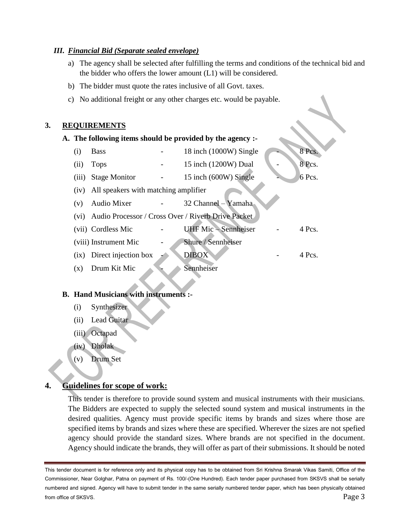#### *III. Financial Bid (Separate sealed envelope)*

- a) The agency shall be selected after fulfilling the terms and conditions of the technical bid and the bidder who offers the lower amount (L1) will be considered.
- b) The bidder must quote the rates inclusive of all Govt. taxes.
- c) No additional freight or any other charges etc. would be payable.

#### **3. REQUIREMENTS**

|                 |                                      | A. The following items should be provided by the agency :- |        |
|-----------------|--------------------------------------|------------------------------------------------------------|--------|
| (i)             | <b>Bass</b>                          | 18 inch (1000W) Single                                     | 8 Pcs. |
| (ii)            | <b>Tops</b>                          | 15 inch (1200W) Dual                                       | 8 Pcs. |
| (iii)           | <b>Stage Monitor</b>                 | 15 inch (600W) Single                                      | 6 Pcs. |
| (iv)            | All speakers with matching amplifier |                                                            |        |
| (v)             | Audio Mixer                          | 32 Channel - Yamaha                                        |        |
| (vi)            |                                      | Audio Processor / Cross Over / Riverb Drive Packet         |        |
|                 | (vii) Cordless Mic                   | <b>UHF</b> Mic - Sennheiser                                | 4 Pcs. |
|                 | (viii) Instrument Mic                | Shure / Sennheiser                                         |        |
| $\overline{1}X$ | Direct injection box                 | <b>DIBOX</b>                                               | 4 Pcs. |
| $(\mathbf{x})$  | Drum Kit Mic                         | Sennheiser                                                 |        |
|                 |                                      |                                                            |        |

#### **B. Hand Musicians with instruments :-**

- (i) Synthesizer
- (ii) Lead Guitar
- (iii) Octapad
- (iv) Dholak
- (v) Drum Set

## **4. Guidelines for scope of work:**

This tender is therefore to provide sound system and musical instruments with their musicians. The Bidders are expected to supply the selected sound system and musical instruments in the desired qualities. Agency must provide specific items by brands and sizes where those are specified items by brands and sizes where these are specified. Wherever the sizes are not spefied agency should provide the standard sizes. Where brands are not specified in the document. Agency should indicate the brands, they will offer as part of their submissions. It should be noted

This tender document is for reference only and its physical copy has to be obtained from Sri Krishna Smarak Vikas Samiti, Office of the Commissioner, Near Golghar, Patna on payment of Rs. 100/-(One Hundred). Each tender paper purchased from SKSVS shall be serially numbered and signed. Agency will have to submit tender in the same serially numbered tender paper, which has been physically obtained from office of SKSVS. Page 3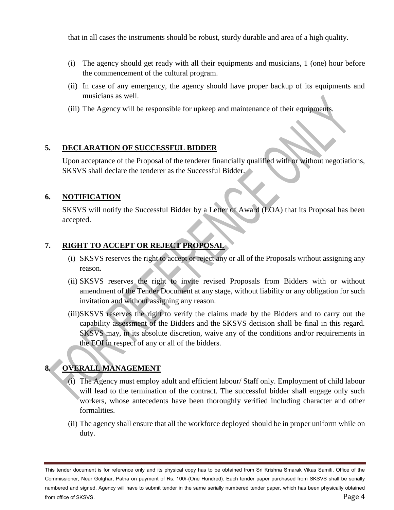that in all cases the instruments should be robust, sturdy durable and area of a high quality.

- (i) The agency should get ready with all their equipments and musicians, 1 (one) hour before the commencement of the cultural program.
- (ii) In case of any emergency, the agency should have proper backup of its equipments and musicians as well.
- (iii) The Agency will be responsible for upkeep and maintenance of their equipments.

#### **5. DECLARATION OF SUCCESSFUL BIDDER**

Upon acceptance of the Proposal of the tenderer financially qualified with or without negotiations, SKSVS shall declare the tenderer as the Successful Bidder.

#### **6. NOTIFICATION**

SKSVS will notify the Successful Bidder by a Letter of Award (LOA) that its Proposal has been accepted.

#### **7. RIGHT TO ACCEPT OR REJECT PROPOSAL**

- (i) SKSVS reserves the right to accept or reject any or all of the Proposals without assigning any reason.
- (ii) SKSVS reserves the right to invite revised Proposals from Bidders with or without amendment of the Tender Document at any stage, without liability or any obligation for such invitation and without assigning any reason.
- (iii)SKSVS reserves the right to verify the claims made by the Bidders and to carry out the capability assessment of the Bidders and the SKSVS decision shall be final in this regard. SKSVS may, in its absolute discretion, waive any of the conditions and/or requirements in the EOI in respect of any or all of the bidders.

## **8. OVERALL MANAGEMENT**

- (i) The Agency must employ adult and efficient labour/ Staff only. Employment of child labour will lead to the termination of the contract. The successful bidder shall engage only such workers, whose antecedents have been thoroughly verified including character and other formalities.
- (ii) The agency shall ensure that all the workforce deployed should be in proper uniform while on duty.

This tender document is for reference only and its physical copy has to be obtained from Sri Krishna Smarak Vikas Samiti, Office of the Commissioner, Near Golghar, Patna on payment of Rs. 100/-(One Hundred). Each tender paper purchased from SKSVS shall be serially numbered and signed. Agency will have to submit tender in the same serially numbered tender paper, which has been physically obtained from office of SKSVS. Page 4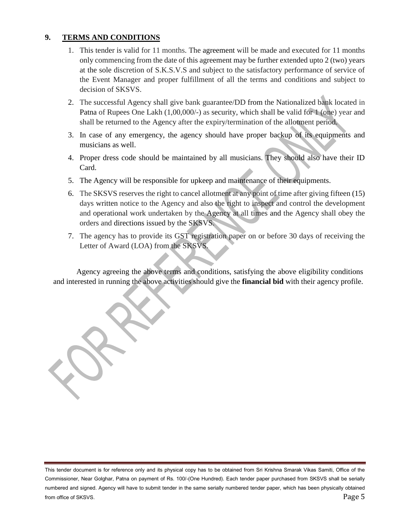#### **9. TERMS AND CONDITIONS**

- 1. This tender is valid for 11 months. The agreement will be made and executed for 11 months only commencing from the date of this agreement may be further extended upto 2 (two) years at the sole discretion of S.K.S.V.S and subject to the satisfactory performance of service of the Event Manager and proper fulfillment of all the terms and conditions and subject to decision of SKSVS.
- 2. The successful Agency shall give bank guarantee/DD from the Nationalized bank located in Patna of Rupees One Lakh (1,00,000/-) as security, which shall be valid for 1 (one) year and shall be returned to the Agency after the expiry/termination of the allotment period.
- 3. In case of any emergency, the agency should have proper backup of its equipments and musicians as well.
- 4. Proper dress code should be maintained by all musicians. They should also have their ID Card.
- 5. The Agency will be responsible for upkeep and maintenance of their equipments.
- 6. The SKSVS reserves the right to cancel allotment at any point of time after giving fifteen (15) days written notice to the Agency and also the right to inspect and control the development and operational work undertaken by the Agency at all times and the Agency shall obey the orders and directions issued by the SKSVS.
- 7. The agency has to provide its GST registration paper on or before 30 days of receiving the Letter of Award (LOA) from the SKSVS.

Agency agreeing the above terms and conditions, satisfying the above eligibility conditions and interested in running the above activities should give the **financial bid** with their agency profile.

This tender document is for reference only and its physical copy has to be obtained from Sri Krishna Smarak Vikas Samiti, Office of the Commissioner, Near Golghar, Patna on payment of Rs. 100/-(One Hundred). Each tender paper purchased from SKSVS shall be serially numbered and signed. Agency will have to submit tender in the same serially numbered tender paper, which has been physically obtained from office of SKSVS. Page 5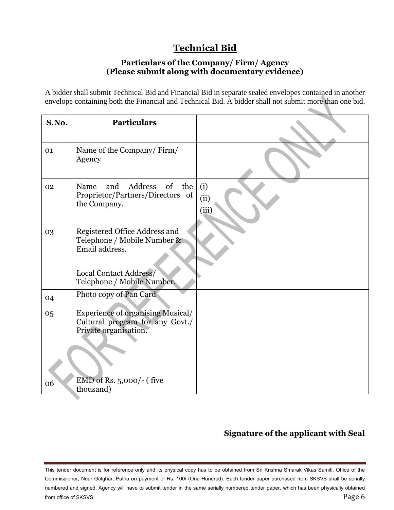## **Technical Bid**

#### **Particulars of the Company/ Firm/ Agency (Please submit along with documentary evidence)**

A bidder shall submit Technical Bid and Financial Bid in separate sealed envelopes contained in another envelope containing both the Financial and Technical Bid. A bidder shall not submit more than one bid.

| S.No. | <b>Particulars</b>                                                                                                                     |                      |
|-------|----------------------------------------------------------------------------------------------------------------------------------------|----------------------|
| 01    | Name of the Company/Firm/<br>Agency                                                                                                    |                      |
| 02    | Address of the<br>Name<br>and<br>Proprietor/Partners/Directors of<br>the Company.                                                      | (i)<br>(ii)<br>(iii) |
| 03    | Registered Office Address and<br>Telephone / Mobile Number &<br>Email address.<br>Local Contact Address/<br>Telephone / Mobile Number. |                      |
| 04    | Photo copy of Pan Card                                                                                                                 |                      |
| 05    | <b>Experience of organising Musical/</b><br>Cultural program for any Govt./<br>Private organisation.                                   |                      |
| 06    | EMD of Rs. 5,000/- (five<br>thousand)                                                                                                  |                      |

## **Signature of the applicant with Seal**

This tender document is for reference only and its physical copy has to be obtained from Sri Krishna Smarak Vikas Samiti, Office of the Commissioner, Near Golghar, Patna on payment of Rs. 100/-(One Hundred). Each tender paper purchased from SKSVS shall be serially numbered and signed. Agency will have to submit tender in the same serially numbered tender paper, which has been physically obtained from office of SKSVS.  $P$ age  $6$